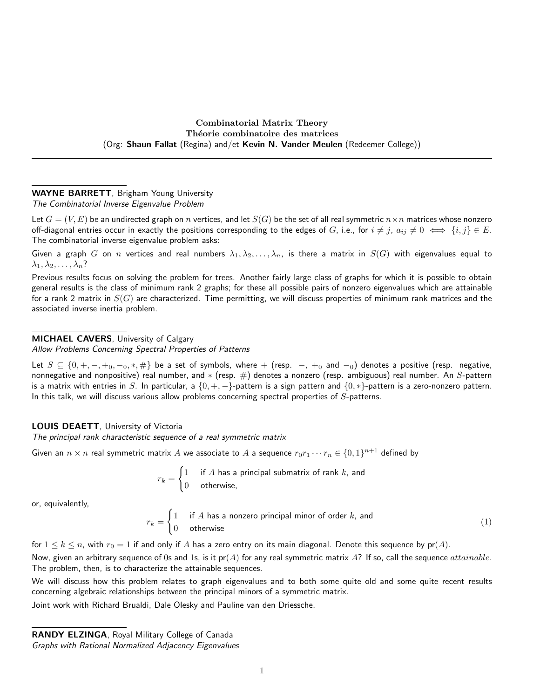Combinatorial Matrix Theory Théorie combinatoire des matrices (Org: Shaun Fallat (Regina) and/et Kevin N. Vander Meulen (Redeemer College))

# WAYNE BARRETT, Brigham Young University

The Combinatorial Inverse Eigenvalue Problem

Let  $G = (V, E)$  be an undirected graph on n vertices, and let  $S(G)$  be the set of all real symmetric  $n \times n$  matrices whose nonzero off-diagonal entries occur in exactly the positions corresponding to the edges of G, i.e., for  $i \neq j$ ,  $a_{ij} \neq 0 \iff \{i, j\} \in E$ . The combinatorial inverse eigenvalue problem asks:

Given a graph G on n vertices and real numbers  $\lambda_1, \lambda_2, \ldots, \lambda_n$ , is there a matrix in  $S(G)$  with eigenvalues equal to  $\lambda_1, \lambda_2, \ldots, \lambda_n$ ?

Previous results focus on solving the problem for trees. Another fairly large class of graphs for which it is possible to obtain general results is the class of minimum rank 2 graphs; for these all possible pairs of nonzero eigenvalues which are attainable for a rank 2 matrix in  $S(G)$  are characterized. Time permitting, we will discuss properties of minimum rank matrices and the associated inverse inertia problem.

## MICHAEL CAVERS, University of Calgary

Allow Problems Concerning Spectral Properties of Patterns

Let  $S \subseteq \{0, +, -, +_0, -_0, *, \# \}$  be a set of symbols, where  $+$  (resp.  $-$ ,  $+_0$  and  $-_0$ ) denotes a positive (resp. negative, nonnegative and nonpositive) real number, and  $*($  (resp.  $#)$  denotes a nonzero (resp. ambiguous) real number. An  $S$ -pattern is a matrix with entries in S. In particular, a  $\{0, +, -\}$ -pattern is a sign pattern and  $\{0, *\}$ -pattern is a zero-nonzero pattern. In this talk, we will discuss various allow problems concerning spectral properties of  $S$ -patterns.

## LOUIS DEAETT, University of Victoria

The principal rank characteristic sequence of a real symmetric matrix

Given an  $n\times n$  real symmetric matrix  $A$  we associate to  $A$  a sequence  $r_0r_1\cdots r_n\in\{0,1\}^{n+1}$  defined by

$$
r_k = \begin{cases} 1 & \text{if } A \text{ has a principal submatrix of rank } k \text{, and} \\ 0 & \text{otherwise,} \end{cases}
$$

or, equivalently,

$$
r_k = \begin{cases} 1 & \text{if } A \text{ has a nonzero principal minor of order } k \text{, and} \\ 0 & \text{otherwise} \end{cases} \tag{1}
$$

for  $1 \leq k \leq n$ , with  $r_0 = 1$  if and only if A has a zero entry on its main diagonal. Denote this sequence by  $pr(A)$ .

Now, given an arbitrary sequence of 0s and 1s, is it  $pr(A)$  for any real symmetric matrix A? If so, call the sequence attainable. The problem, then, is to characterize the attainable sequences.

We will discuss how this problem relates to graph eigenvalues and to both some quite old and some quite recent results concerning algebraic relationships between the principal minors of a symmetric matrix.

Joint work with Richard Brualdi, Dale Olesky and Pauline van den Driessche.

RANDY ELZINGA, Royal Military College of Canada Graphs with Rational Normalized Adjacency Eigenvalues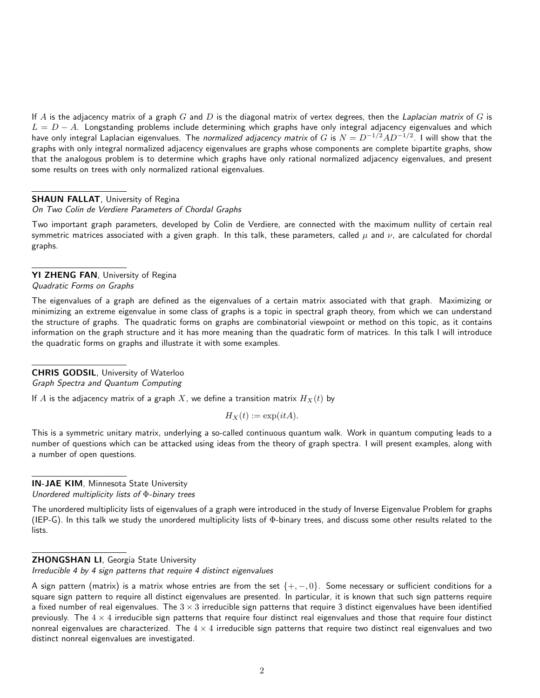If A is the adjacency matrix of a graph G and D is the diagonal matrix of vertex degrees, then the Laplacian matrix of G is  $L = D - A$ . Longstanding problems include determining which graphs have only integral adjacency eigenvalues and which have only integral Laplacian eigenvalues. The *normalized adjacency matrix* of  $G$  is  $N=D^{-1/2}AD^{-1/2}.$  I will show that the graphs with only integral normalized adjacency eigenvalues are graphs whose components are complete bipartite graphs, show that the analogous problem is to determine which graphs have only rational normalized adjacency eigenvalues, and present some results on trees with only normalized rational eigenvalues.

### **SHAUN FALLAT, University of Regina**

### On Two Colin de Verdiere Parameters of Chordal Graphs

Two important graph parameters, developed by Colin de Verdiere, are connected with the maximum nullity of certain real symmetric matrices associated with a given graph. In this talk, these parameters, called  $\mu$  and  $\nu$ , are calculated for chordal graphs.

YI ZHENG FAN, University of Regina Quadratic Forms on Graphs

The eigenvalues of a graph are defined as the eigenvalues of a certain matrix associated with that graph. Maximizing or minimizing an extreme eigenvalue in some class of graphs is a topic in spectral graph theory, from which we can understand the structure of graphs. The quadratic forms on graphs are combinatorial viewpoint or method on this topic, as it contains information on the graph structure and it has more meaning than the quadratic form of matrices. In this talk I will introduce the quadratic forms on graphs and illustrate it with some examples.

### CHRIS GODSIL, University of Waterloo Graph Spectra and Quantum Computing

If A is the adjacency matrix of a graph X, we define a transition matrix  $H_X(t)$  by

$$
H_X(t) := \exp(itA).
$$

This is a symmetric unitary matrix, underlying a so-called continuous quantum walk. Work in quantum computing leads to a number of questions which can be attacked using ideas from the theory of graph spectra. I will present examples, along with a number of open questions.

IN-JAE KIM, Minnesota State University Unordered multiplicity lists of Φ-binary trees

The unordered multiplicity lists of eigenvalues of a graph were introduced in the study of Inverse Eigenvalue Problem for graphs (IEP-G). In this talk we study the unordered multiplicity lists of Φ-binary trees, and discuss some other results related to the lists.

#### ZHONGSHAN LI, Georgia State University

Irreducible 4 by 4 sign patterns that require 4 distinct eigenvalues

A sign pattern (matrix) is a matrix whose entries are from the set  $\{+,-,0\}$ . Some necessary or sufficient conditions for a square sign pattern to require all distinct eigenvalues are presented. In particular, it is known that such sign patterns require a fixed number of real eigenvalues. The  $3 \times 3$  irreducible sign patterns that require 3 distinct eigenvalues have been identified previously. The  $4 \times 4$  irreducible sign patterns that require four distinct real eigenvalues and those that require four distinct nonreal eigenvalues are characterized. The  $4 \times 4$  irreducible sign patterns that require two distinct real eigenvalues and two distinct nonreal eigenvalues are investigated.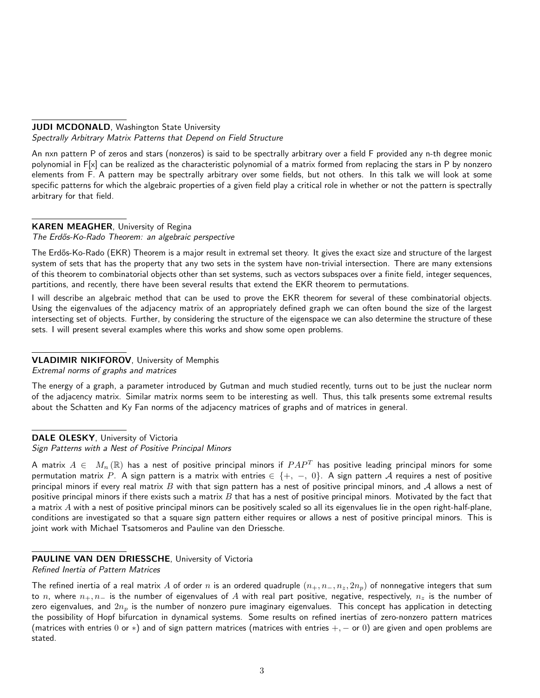### **JUDI MCDONALD, Washington State University** Spectrally Arbitrary Matrix Patterns that Depend on Field Structure

An nxn pattern P of zeros and stars (nonzeros) is said to be spectrally arbitrary over a field F provided any n-th degree monic polynomial in F[x] can be realized as the characteristic polynomial of a matrix formed from replacing the stars in P by nonzero elements from F. A pattern may be spectrally arbitrary over some fields, but not others. In this talk we will look at some specific patterns for which the algebraic properties of a given field play a critical role in whether or not the pattern is spectrally arbitrary for that field.

## KAREN MEAGHER, University of Regina

The Erdős-Ko-Rado Theorem: an algebraic perspective

The Erdős-Ko-Rado (EKR) Theorem is a major result in extremal set theory. It gives the exact size and structure of the largest system of sets that has the property that any two sets in the system have non-trivial intersection. There are many extensions of this theorem to combinatorial objects other than set systems, such as vectors subspaces over a finite field, integer sequences, partitions, and recently, there have been several results that extend the EKR theorem to permutations.

I will describe an algebraic method that can be used to prove the EKR theorem for several of these combinatorial objects. Using the eigenvalues of the adjacency matrix of an appropriately defined graph we can often bound the size of the largest intersecting set of objects. Further, by considering the structure of the eigenspace we can also determine the structure of these sets. I will present several examples where this works and show some open problems.

## VLADIMIR NIKIFOROV, University of Memphis

Extremal norms of graphs and matrices

The energy of a graph, a parameter introduced by Gutman and much studied recently, turns out to be just the nuclear norm of the adjacency matrix. Similar matrix norms seem to be interesting as well. Thus, this talk presents some extremal results about the Schatten and Ky Fan norms of the adjacency matrices of graphs and of matrices in general.

DALE OLESKY, University of Victoria

Sign Patterns with a Nest of Positive Principal Minors

A matrix  $A\in\ M_n\left(\mathbb{R}\right)$  has a nest of positive principal minors if  $PAP^T$  has positive leading principal minors for some permutation matrix  $P$ . A sign pattern is a matrix with entries  $\in$   $\{+,\;-,\;0\}$ . A sign pattern  ${\cal A}$  requires a nest of positive principal minors if every real matrix  $B$  with that sign pattern has a nest of positive principal minors, and  $A$  allows a nest of positive principal minors if there exists such a matrix  $B$  that has a nest of positive principal minors. Motivated by the fact that a matrix A with a nest of positive principal minors can be positively scaled so all its eigenvalues lie in the open right-half-plane, conditions are investigated so that a square sign pattern either requires or allows a nest of positive principal minors. This is joint work with Michael Tsatsomeros and Pauline van den Driessche.

## PAULINE VAN DEN DRIESSCHE, University of Victoria

Refined Inertia of Pattern Matrices

The refined inertia of a real matrix A of order n is an ordered quadruple  $(n_+, n_-, n_z, 2n_p)$  of nonnegative integers that sum to n, where  $n_+, n_-$  is the number of eigenvalues of A with real part positive, negative, respectively,  $n_z$  is the number of zero eigenvalues, and  $2n_p$  is the number of nonzero pure imaginary eigenvalues. This concept has application in detecting the possibility of Hopf bifurcation in dynamical systems. Some results on refined inertias of zero-nonzero pattern matrices (matrices with entries 0 or  $*$ ) and of sign pattern matrices (matrices with entries  $+,-$  or 0) are given and open problems are stated.